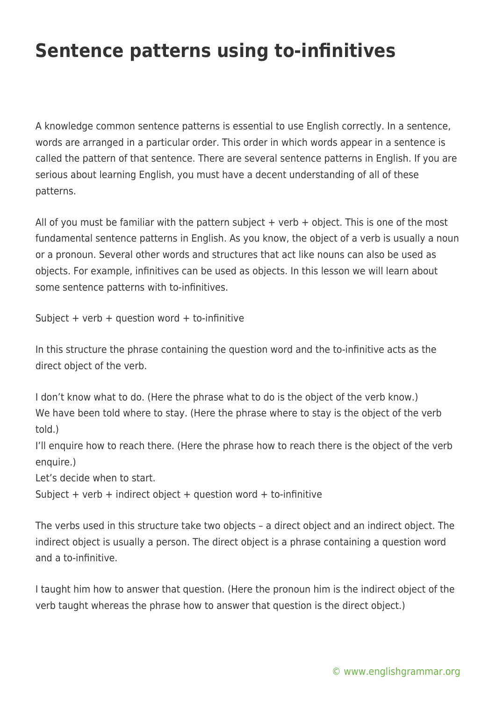## **Sentence patterns using to-infinitives**

A knowledge common sentence patterns is essential to use English correctly. In a sentence, words are arranged in a particular order. This order in which words appear in a sentence is called the pattern of that sentence. There are several sentence patterns in English. If you are serious about learning English, you must have a decent understanding of all of these patterns.

All of you must be familiar with the pattern subject  $+$  verb  $+$  object. This is one of the most fundamental sentence patterns in English. As you know, the object of a verb is usually a noun or a pronoun. Several other words and structures that act like nouns can also be used as objects. For example, infinitives can be used as objects. In this lesson we will learn about some sentence patterns with to-infinitives.

Subject + verb + question word + to-infinitive

In this structure the phrase containing the question word and the to-infinitive acts as the direct object of the verb.

I don't know what to do. (Here the phrase what to do is the object of the verb know.) We have been told where to stay. (Here the phrase where to stay is the object of the verb told.)

I'll enquire how to reach there. (Here the phrase how to reach there is the object of the verb enquire.)

Let's decide when to start.

Subject + verb + indirect object + question word + to-infinitive

The verbs used in this structure take two objects – a direct object and an indirect object. The indirect object is usually a person. The direct object is a phrase containing a question word and a to-infinitive.

I taught him how to answer that question. (Here the pronoun him is the indirect object of the verb taught whereas the phrase how to answer that question is the direct object.)